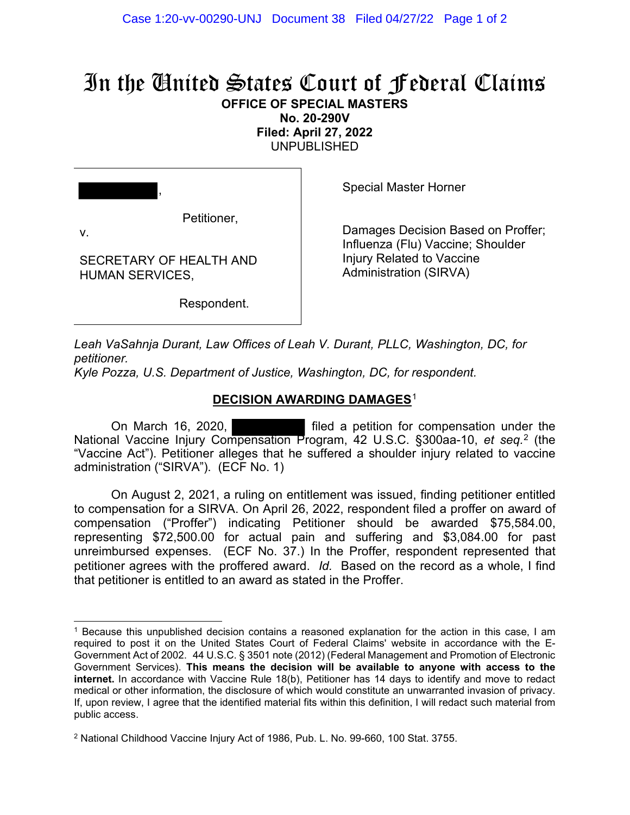## In the United States Court of Federal Claims

**OFFICE OF SPECIAL MASTERS**

**No. 20-290V Filed: April 27, 2022** UNPUBLISHED

,

Petitioner,

v.

SECRETARY OF HEALTH AND HUMAN SERVICES,

Special Master Horner

Damages Decision Based on Proffer; Influenza (Flu) Vaccine; Shoulder Injury Related to Vaccine Administration (SIRVA)

Respondent.

*Leah VaSahnja Durant, Law Offices of Leah V. Durant, PLLC, Washington, DC, for petitioner.*

*Kyle Pozza, U.S. Department of Justice, Washington, DC, for respondent.*

## **DECISION AWARDING DAMAGES**[1](#page-0-0)

On March 16, 2020, filed a petition for compensation under the National Vaccine Injury Compensation Program, 42 U.S.C. §300aa-10, *et seq.*[2](#page-0-1) (the "Vaccine Act"). Petitioner alleges that he suffered a shoulder injury related to vaccine administration ("SIRVA"). (ECF No. 1)

On August 2, 2021, a ruling on entitlement was issued, finding petitioner entitled to compensation for a SIRVA. On April 26, 2022, respondent filed a proffer on award of compensation ("Proffer") indicating Petitioner should be awarded \$75,584.00, representing \$72,500.00 for actual pain and suffering and \$3,084.00 for past unreimbursed expenses. (ECF No. 37.) In the Proffer, respondent represented that petitioner agrees with the proffered award. *Id.* Based on the record as a whole, I find that petitioner is entitled to an award as stated in the Proffer.

<span id="page-0-0"></span><sup>1</sup> Because this unpublished decision contains a reasoned explanation for the action in this case, I am required to post it on the United States Court of Federal Claims' website in accordance with the E-Government Act of 2002. 44 U.S.C. § 3501 note (2012) (Federal Management and Promotion of Electronic Government Services). **This means the decision will be available to anyone with access to the internet.** In accordance with Vaccine Rule 18(b), Petitioner has 14 days to identify and move to redact medical or other information, the disclosure of which would constitute an unwarranted invasion of privacy. If, upon review, I agree that the identified material fits within this definition, I will redact such material from public access.

<span id="page-0-1"></span><sup>2</sup> National Childhood Vaccine Injury Act of 1986, Pub. L. No. 99-660, 100 Stat. 3755.